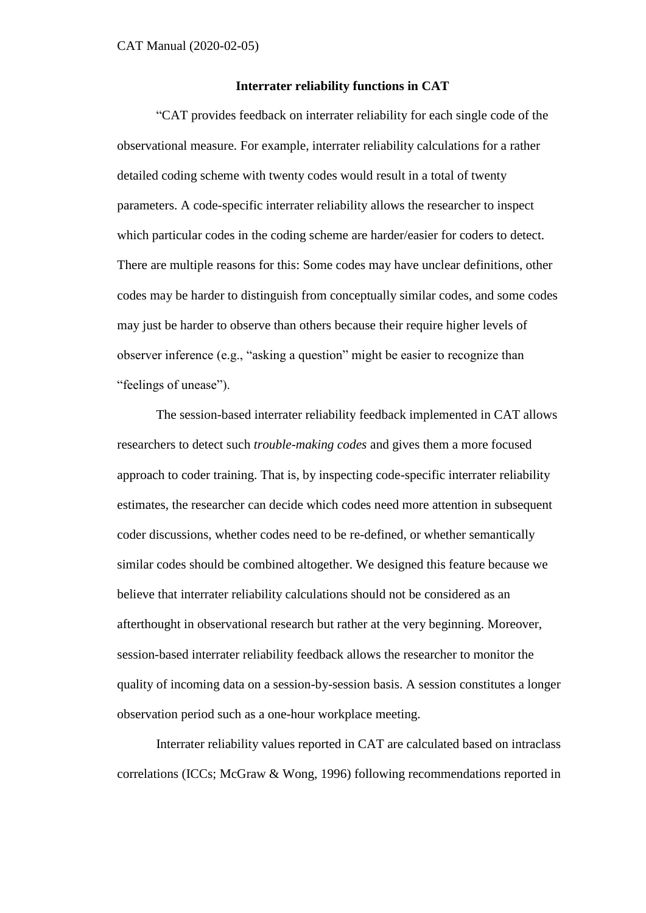### **Interrater reliability functions in CAT**

"CAT provides feedback on interrater reliability for each single code of the observational measure. For example, interrater reliability calculations for a rather detailed coding scheme with twenty codes would result in a total of twenty parameters. A code-specific interrater reliability allows the researcher to inspect which particular codes in the coding scheme are harder/easier for coders to detect. There are multiple reasons for this: Some codes may have unclear definitions, other codes may be harder to distinguish from conceptually similar codes, and some codes may just be harder to observe than others because their require higher levels of observer inference (e.g., "asking a question" might be easier to recognize than "feelings of unease").

The session-based interrater reliability feedback implemented in CAT allows researchers to detect such *trouble-making codes* and gives them a more focused approach to coder training. That is, by inspecting code-specific interrater reliability estimates, the researcher can decide which codes need more attention in subsequent coder discussions, whether codes need to be re-defined, or whether semantically similar codes should be combined altogether. We designed this feature because we believe that interrater reliability calculations should not be considered as an afterthought in observational research but rather at the very beginning. Moreover, session-based interrater reliability feedback allows the researcher to monitor the quality of incoming data on a session-by-session basis. A session constitutes a longer observation period such as a one-hour workplace meeting.

Interrater reliability values reported in CAT are calculated based on intraclass correlations (ICCs; McGraw & Wong, 1996) following recommendations reported in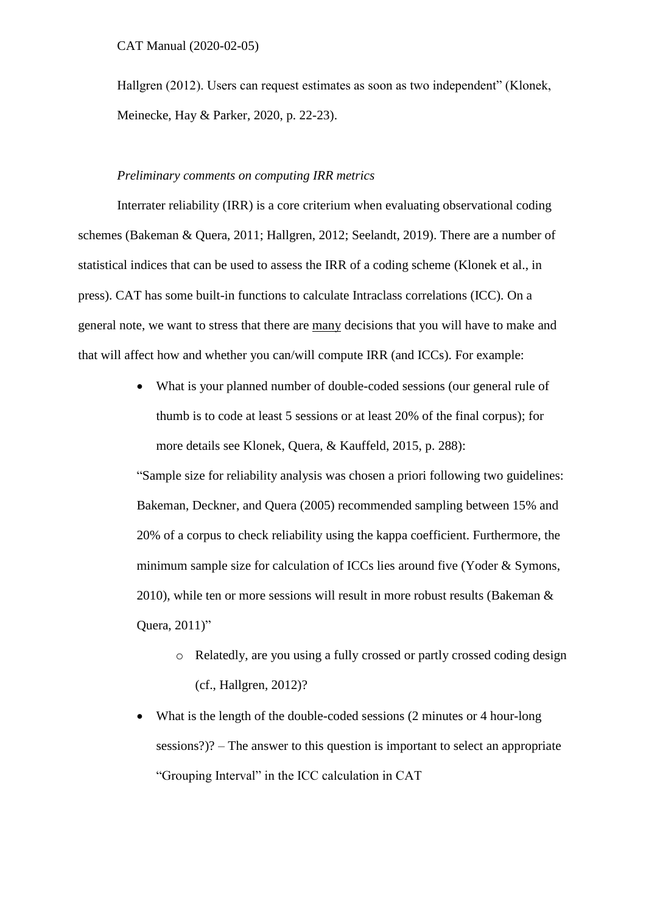### CAT Manual (2020-02-05)

Hallgren (2012). Users can request estimates as soon as two independent" (Klonek, Meinecke, Hay & Parker, 2020, p. 22-23).

# *Preliminary comments on computing IRR metrics*

Interrater reliability (IRR) is a core criterium when evaluating observational coding schemes (Bakeman & Quera, 2011; Hallgren, 2012; Seelandt, 2019). There are a number of statistical indices that can be used to assess the IRR of a coding scheme (Klonek et al., in press). CAT has some built-in functions to calculate Intraclass correlations (ICC). On a general note, we want to stress that there are many decisions that you will have to make and that will affect how and whether you can/will compute IRR (and ICCs). For example:

> What is your planned number of double-coded sessions (our general rule of thumb is to code at least 5 sessions or at least 20% of the final corpus); for more details see Klonek, Quera, & Kauffeld, 2015, p. 288):

"Sample size for reliability analysis was chosen a priori following two guidelines: Bakeman, Deckner, and Quera (2005) recommended sampling between 15% and 20% of a corpus to check reliability using the kappa coefficient. Furthermore, the minimum sample size for calculation of ICCs lies around five (Yoder & Symons, 2010), while ten or more sessions will result in more robust results (Bakeman & Quera, 2011)"

- o Relatedly, are you using a fully crossed or partly crossed coding design (cf., Hallgren, 2012)?
- What is the length of the double-coded sessions (2 minutes or 4 hour-long sessions?)? – The answer to this question is important to select an appropriate "Grouping Interval" in the ICC calculation in CAT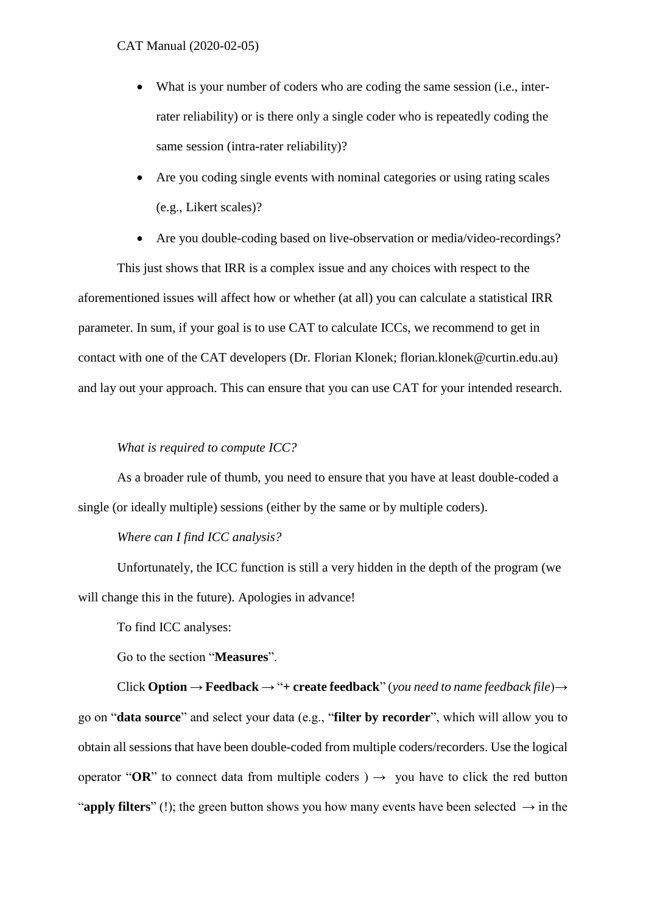### CAT Manual (2020-02-05)

- What is your number of coders who are coding the same session (i.e., interrater reliability) or is there only a single coder who is repeatedly coding the same session (intra-rater reliability)?
- Are you coding single events with nominal categories or using rating scales (e.g., Likert scales)?
- Are you double-coding based on live-observation or media/video-recordings?

This just shows that IRR is a complex issue and any choices with respect to the aforementioned issues will affect how or whether (at all) you can calculate a statistical IRR parameter. In sum, if your goal is to use CAT to calculate ICCs, we recommend to get in contact with one of the CAT developers (Dr. Florian Klonek; florian.klonek@curtin.edu.au) and lay out your approach. This can ensure that you can use CAT for your intended research.

# *What is required to compute ICC?*

As a broader rule of thumb, you need to ensure that you have at least double-coded a single (or ideally multiple) sessions (either by the same or by multiple coders).

## *Where can I find ICC analysis?*

Unfortunately, the ICC function is still a very hidden in the depth of the program (we will change this in the future). Apologies in advance!

To find ICC analyses:

Go to the section "**Measures**".

Click **Option** → **Feedback** → "**+ create feedback**" (*you need to name feedback file*)→ go on "**data source**" and select your data (e.g., "**filter by recorder**", which will allow you to obtain all sessions that have been double-coded from multiple coders/recorders. Use the logical operator " $OR$ " to connect data from multiple coders )  $\rightarrow$  you have to click the red button "**apply filters**" (!); the green button shows you how many events have been selected  $\rightarrow$  in the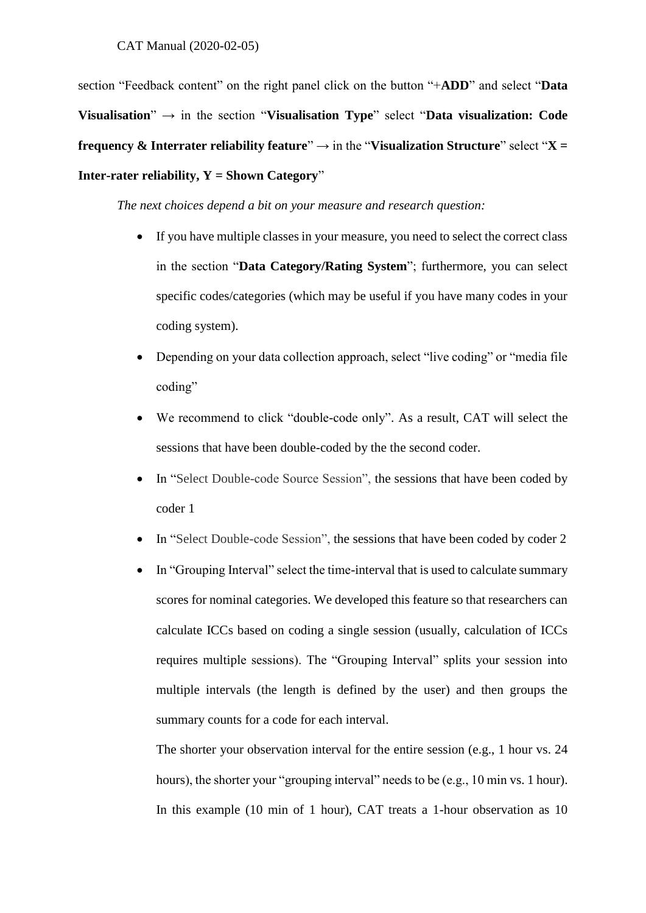section "Feedback content" on the right panel click on the button "+**ADD**" and select "**Data Visualisation**" → in the section "**Visualisation Type**" select "**Data visualization: Code frequency & Interrater reliability feature**"  $\rightarrow$  in the "Visualization Structure" select " $X =$ **Inter-rater reliability, Y = Shown Category**"

*The next choices depend a bit on your measure and research question:*

- If you have multiple classes in your measure, you need to select the correct class in the section "**Data Category/Rating System**"; furthermore, you can select specific codes/categories (which may be useful if you have many codes in your coding system).
- Depending on your data collection approach, select "live coding" or "media file coding"
- We recommend to click "double-code only". As a result, CAT will select the sessions that have been double-coded by the the second coder.
- In "Select Double-code Source Session", the sessions that have been coded by coder 1
- In "Select Double-code Session", the sessions that have been coded by coder 2
- In "Grouping Interval" select the time-interval that is used to calculate summary scores for nominal categories. We developed this feature so that researchers can calculate ICCs based on coding a single session (usually, calculation of ICCs requires multiple sessions). The "Grouping Interval" splits your session into multiple intervals (the length is defined by the user) and then groups the summary counts for a code for each interval.

The shorter your observation interval for the entire session (e.g., 1 hour vs. 24 hours), the shorter your "grouping interval" needs to be (e.g., 10 min vs. 1 hour). In this example (10 min of 1 hour), CAT treats a 1-hour observation as 10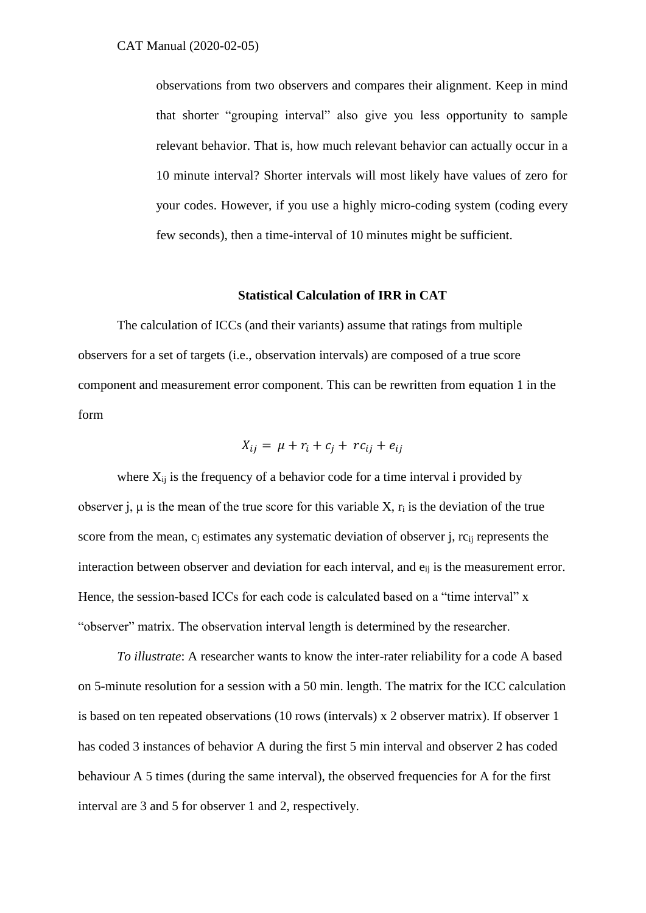observations from two observers and compares their alignment. Keep in mind that shorter "grouping interval" also give you less opportunity to sample relevant behavior. That is, how much relevant behavior can actually occur in a 10 minute interval? Shorter intervals will most likely have values of zero for your codes. However, if you use a highly micro-coding system (coding every few seconds), then a time-interval of 10 minutes might be sufficient.

# **Statistical Calculation of IRR in CAT**

The calculation of ICCs (and their variants) assume that ratings from multiple observers for a set of targets (i.e., observation intervals) are composed of a true score component and measurement error component. This can be rewritten from equation 1 in the form

$$
X_{ij} = \mu + r_i + c_j + rc_{ij} + e_{ij}
$$

where  $X_{ij}$  is the frequency of a behavior code for a time interval i provided by observer j,  $\mu$  is the mean of the true score for this variable X,  $r_i$  is the deviation of the true score from the mean,  $c_i$  estimates any systematic deviation of observer j,  $rc_{ij}$  represents the interaction between observer and deviation for each interval, and  $e_{ij}$  is the measurement error. Hence, the session-based ICCs for each code is calculated based on a "time interval" x "observer" matrix. The observation interval length is determined by the researcher.

*To illustrate*: A researcher wants to know the inter-rater reliability for a code A based on 5-minute resolution for a session with a 50 min. length. The matrix for the ICC calculation is based on ten repeated observations (10 rows (intervals) x 2 observer matrix). If observer 1 has coded 3 instances of behavior A during the first 5 min interval and observer 2 has coded behaviour A 5 times (during the same interval), the observed frequencies for A for the first interval are 3 and 5 for observer 1 and 2, respectively.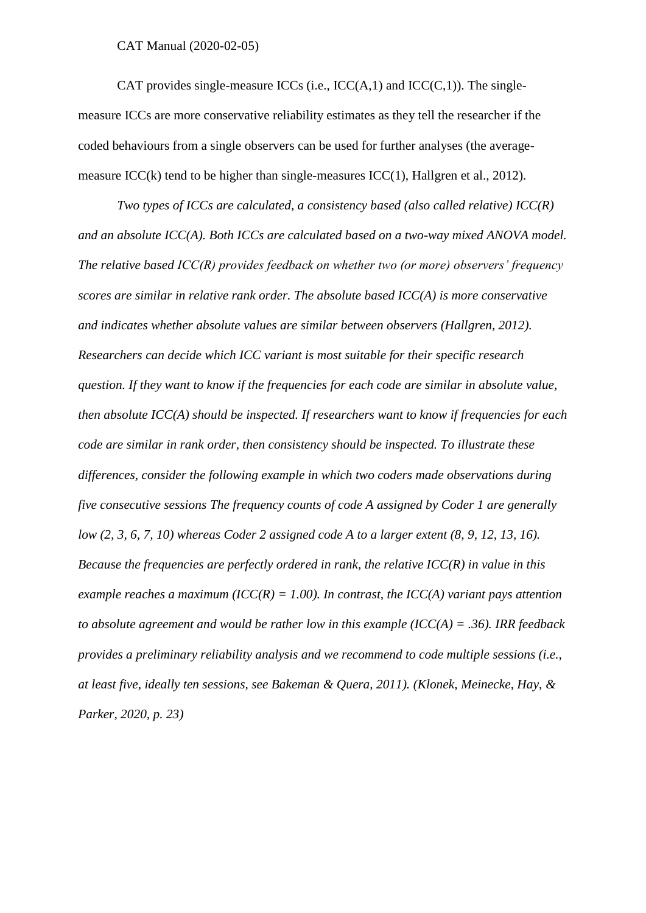#### CAT Manual (2020-02-05)

CAT provides single-measure ICCs (i.e.,  $ICC(A,1)$  and  $ICC(C,1)$ ). The singlemeasure ICCs are more conservative reliability estimates as they tell the researcher if the coded behaviours from a single observers can be used for further analyses (the averagemeasure ICC(k) tend to be higher than single-measures ICC(1), Hallgren et al., 2012).

*Two types of ICCs are calculated, a consistency based (also called relative) ICC(R) and an absolute ICC(A). Both ICCs are calculated based on a two-way mixed ANOVA model. The relative based ICC(R) provides feedback on whether two (or more) observers' frequency scores are similar in relative rank order. The absolute based ICC(A) is more conservative and indicates whether absolute values are similar between observers (Hallgren, 2012). Researchers can decide which ICC variant is most suitable for their specific research question. If they want to know if the frequencies for each code are similar in absolute value, then absolute ICC(A) should be inspected. If researchers want to know if frequencies for each code are similar in rank order, then consistency should be inspected. To illustrate these differences, consider the following example in which two coders made observations during five consecutive sessions The frequency counts of code A assigned by Coder 1 are generally low (2, 3, 6, 7, 10) whereas Coder 2 assigned code A to a larger extent (8, 9, 12, 13, 16). Because the frequencies are perfectly ordered in rank, the relative ICC(R) in value in this example reaches a maximum (ICC(R) = 1.00). In contrast, the ICC(A) variant pays attention to absolute agreement and would be rather low in this example (ICC(A) = .36). IRR feedback provides a preliminary reliability analysis and we recommend to code multiple sessions (i.e., at least five, ideally ten sessions, see Bakeman & Quera, 2011). (Klonek, Meinecke, Hay, & Parker, 2020, p. 23)*